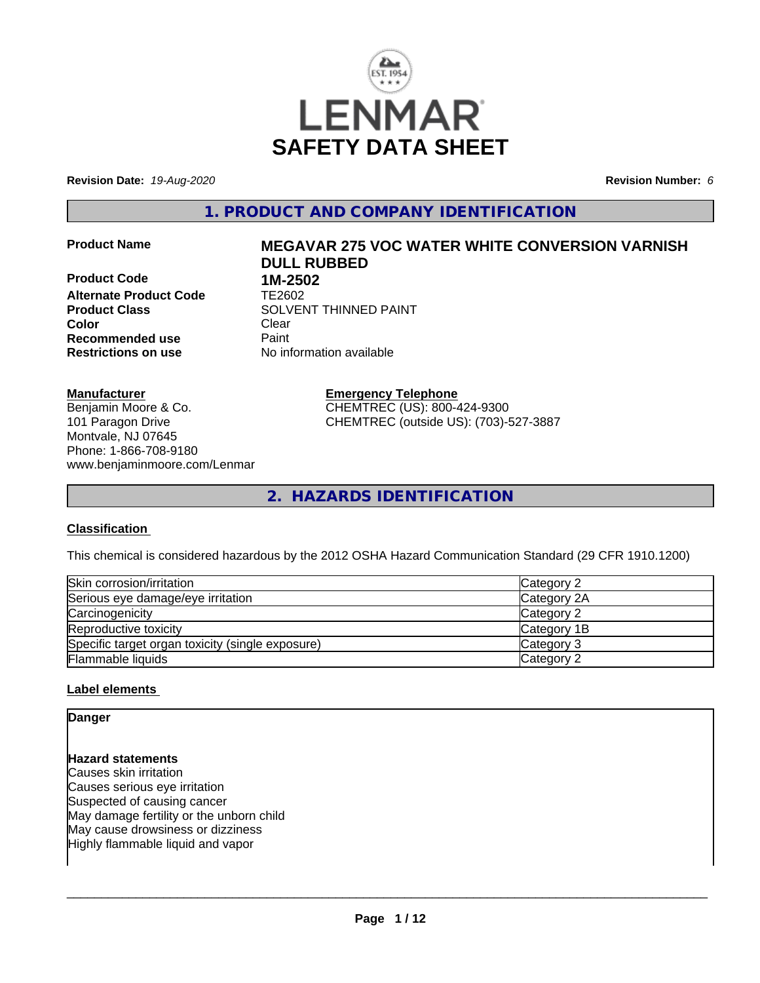

**Revision Date:** *19-Aug-2020* **Revision Number:** *6*

**1. PRODUCT AND COMPANY IDENTIFICATION**

**Product Name MEGAVAR 275 VOC WATER WHITE CONVERSION VARNISH**

**Product Code 1M-2502 Alternate Product Code** TE2602 **Color** Clear Clear **Recommended use** Paint<br> **Restrictions on use** Mo information available **Restrictions on use** 

# **DULL RUBBED Product Class SOLVENT THINNED PAINT**

**Manufacturer** Benjamin Moore & Co. 101 Paragon Drive Montvale, NJ 07645 Phone: 1-866-708-9180 www.benjaminmoore.com/Lenmar

**Emergency Telephone** CHEMTREC (US): 800-424-9300 CHEMTREC (outside US): (703)-527-3887

**2. HAZARDS IDENTIFICATION**

# **Classification**

This chemical is considered hazardous by the 2012 OSHA Hazard Communication Standard (29 CFR 1910.1200)

| Skin corrosion/irritation                        | Category 2  |
|--------------------------------------------------|-------------|
| Serious eye damage/eye irritation                | Category 2A |
| Carcinogenicity                                  | Category 2  |
| Reproductive toxicity                            | Category 1B |
| Specific target organ toxicity (single exposure) | Category 3  |
| <b>Flammable liquids</b>                         | Category 2  |

#### **Label elements**

# **Danger Hazard statements** Causes skin irritation Causes serious eye irritation Suspected of causing cancer May damage fertility or the unborn child May cause drowsiness or dizziness Highly flammable liquid and vapor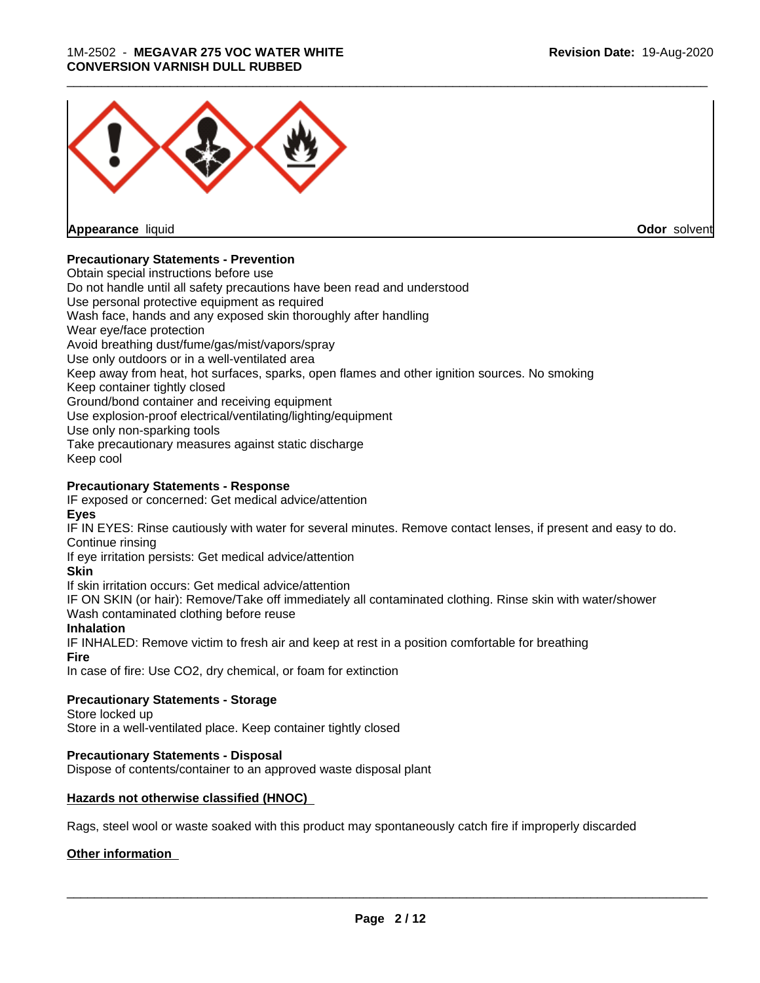#### 1M-2502 - **MEGAVAR 275 VOC WATER WHITE CONVERSION VARNISH DULL RUBBED**



**Appearance** liquid **Odor** solvent

#### **Precautionary Statements - Prevention**

Obtain special instructions before use Do not handle until all safety precautions have been read and understood Use personal protective equipment as required Wash face, hands and any exposed skin thoroughly after handling Wear eye/face protection Avoid breathing dust/fume/gas/mist/vapors/spray Use only outdoors or in a well-ventilated area Keep away from heat, hot surfaces, sparks, open flames and other ignition sources. No smoking Keep container tightly closed Ground/bond container and receiving equipment Use explosion-proof electrical/ventilating/lighting/equipment Use only non-sparking tools Take precautionary measures against static discharge Keep cool **Precautionary Statements - Response**

IF exposed or concerned: Get medical advice/attention **Eyes**

IF IN EYES: Rinse cautiously with water for several minutes. Remove contact lenses, if present and easy to do. Continue rinsing

If eye irritation persists: Get medical advice/attention

**Skin**

If skin irritation occurs: Get medical advice/attention

IF ON SKIN (or hair): Remove/Take off immediately all contaminated clothing. Rinse skin with water/shower Wash contaminated clothing before reuse

#### **Inhalation**

IF INHALED: Remove victim to fresh air and keep at rest in a position comfortable for breathing **Fire**

In case of fire: Use CO2, dry chemical, or foam for extinction

#### **Precautionary Statements - Storage**

Store locked up

Store in a well-ventilated place. Keep container tightly closed

#### **Precautionary Statements - Disposal**

Dispose of contents/container to an approved waste disposal plant

#### **Hazards not otherwise classified (HNOC)**

Rags, steel wool or waste soaked with this product may spontaneously catch fire if improperly discarded

#### **Other information**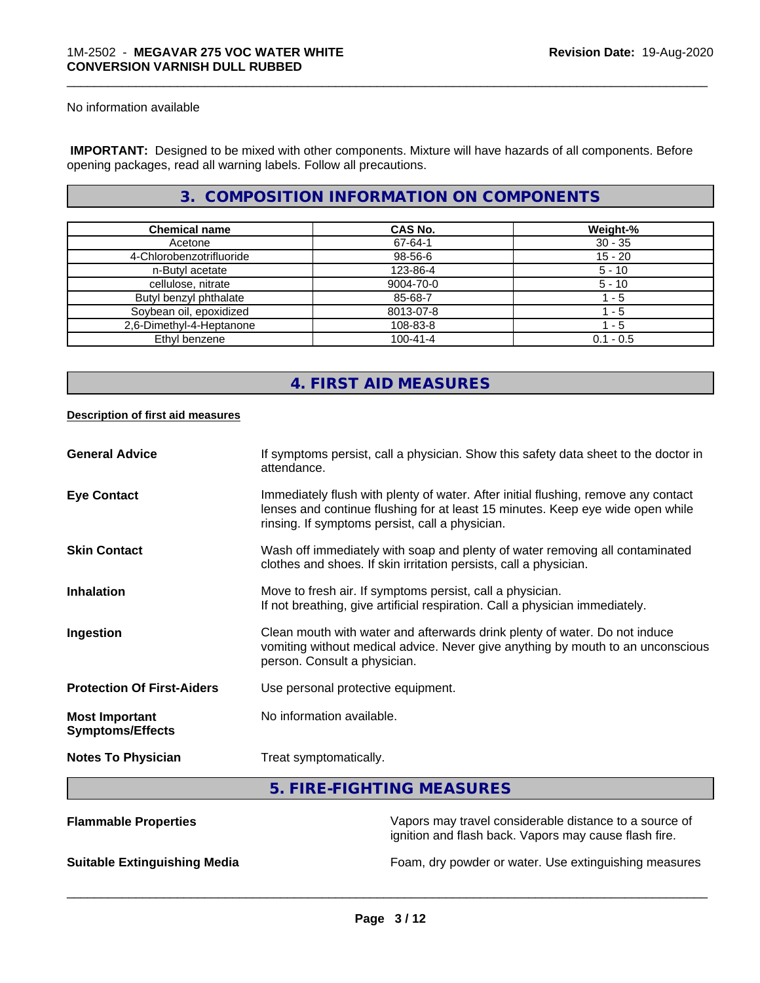No information available

 **IMPORTANT:** Designed to be mixed with other components. Mixture will have hazards of all components. Before opening packages, read all warning labels. Follow all precautions.

# **3. COMPOSITION INFORMATION ON COMPONENTS**

\_\_\_\_\_\_\_\_\_\_\_\_\_\_\_\_\_\_\_\_\_\_\_\_\_\_\_\_\_\_\_\_\_\_\_\_\_\_\_\_\_\_\_\_\_\_\_\_\_\_\_\_\_\_\_\_\_\_\_\_\_\_\_\_\_\_\_\_\_\_\_\_\_\_\_\_\_\_\_\_\_\_\_\_\_\_\_\_\_\_\_\_\_

| <b>Chemical name</b>     | CAS No.        | Weight-%    |
|--------------------------|----------------|-------------|
| Acetone                  | 67-64-1        | $30 - 35$   |
| 4-Chlorobenzotrifluoride | 98-56-6        | $15 - 20$   |
| n-Butyl acetate          | 123-86-4       | $5 - 10$    |
| cellulose, nitrate       | 9004-70-0      | $5 - 10$    |
| Butyl benzyl phthalate   | 85-68-7        | - 5         |
| Soybean oil, epoxidized  | 8013-07-8      | - 5         |
| 2,6-Dimethyl-4-Heptanone | 108-83-8       | l - 5       |
| Ethyl benzene            | $100 - 41 - 4$ | $0.1 - 0.5$ |

# **4. FIRST AID MEASURES**

#### **Description of first aid measures**

| <b>General Advice</b>                            | If symptoms persist, call a physician. Show this safety data sheet to the doctor in<br>attendance.                                                                                                                      |
|--------------------------------------------------|-------------------------------------------------------------------------------------------------------------------------------------------------------------------------------------------------------------------------|
| <b>Eye Contact</b>                               | Immediately flush with plenty of water. After initial flushing, remove any contact<br>lenses and continue flushing for at least 15 minutes. Keep eye wide open while<br>rinsing. If symptoms persist, call a physician. |
| <b>Skin Contact</b>                              | Wash off immediately with soap and plenty of water removing all contaminated<br>clothes and shoes. If skin irritation persists, call a physician.                                                                       |
| <b>Inhalation</b>                                | Move to fresh air. If symptoms persist, call a physician.<br>If not breathing, give artificial respiration. Call a physician immediately.                                                                               |
| Ingestion                                        | Clean mouth with water and afterwards drink plenty of water. Do not induce<br>vomiting without medical advice. Never give anything by mouth to an unconscious<br>person. Consult a physician.                           |
| <b>Protection Of First-Aiders</b>                | Use personal protective equipment.                                                                                                                                                                                      |
| <b>Most Important</b><br><b>Symptoms/Effects</b> | No information available.                                                                                                                                                                                               |
| <b>Notes To Physician</b>                        | Treat symptomatically.                                                                                                                                                                                                  |
|                                                  | E FIDE FIQUITING MEACHDEC                                                                                                                                                                                               |

#### **5. FIRE-FIGHTING MEASURES**

| <b>Flammable Properties</b>         | Vapors may travel considerable distance to a source of<br>ignition and flash back. Vapors may cause flash fire. |
|-------------------------------------|-----------------------------------------------------------------------------------------------------------------|
| <b>Suitable Extinguishing Media</b> | Foam, dry powder or water. Use extinguishing measures                                                           |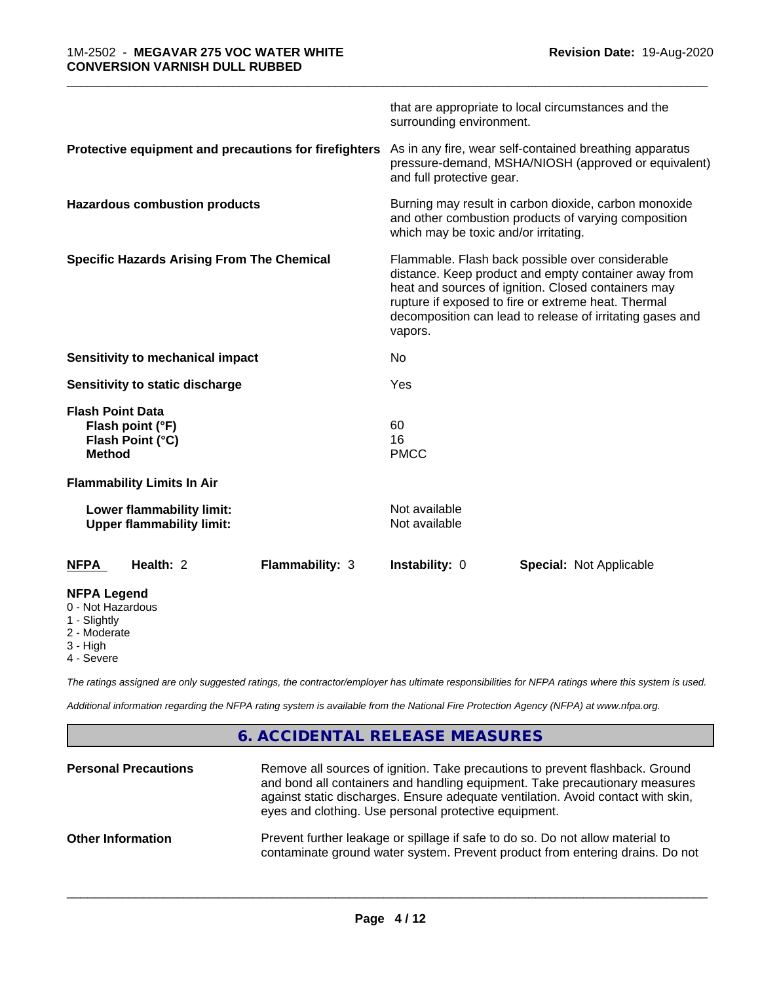|                                                                                     |                 | surrounding environment.                                                                                                                                                                                                                                                                       | that are appropriate to local circumstances and the                                                             |  |  |
|-------------------------------------------------------------------------------------|-----------------|------------------------------------------------------------------------------------------------------------------------------------------------------------------------------------------------------------------------------------------------------------------------------------------------|-----------------------------------------------------------------------------------------------------------------|--|--|
| Protective equipment and precautions for firefighters                               |                 | and full protective gear.                                                                                                                                                                                                                                                                      | As in any fire, wear self-contained breathing apparatus<br>pressure-demand, MSHA/NIOSH (approved or equivalent) |  |  |
| <b>Hazardous combustion products</b>                                                |                 | Burning may result in carbon dioxide, carbon monoxide<br>and other combustion products of varying composition<br>which may be toxic and/or irritating.                                                                                                                                         |                                                                                                                 |  |  |
| <b>Specific Hazards Arising From The Chemical</b>                                   |                 | Flammable. Flash back possible over considerable<br>distance. Keep product and empty container away from<br>heat and sources of ignition. Closed containers may<br>rupture if exposed to fire or extreme heat. Thermal<br>decomposition can lead to release of irritating gases and<br>vapors. |                                                                                                                 |  |  |
| Sensitivity to mechanical impact                                                    |                 | No                                                                                                                                                                                                                                                                                             |                                                                                                                 |  |  |
| Sensitivity to static discharge                                                     |                 | Yes                                                                                                                                                                                                                                                                                            |                                                                                                                 |  |  |
| <b>Flash Point Data</b><br>Flash point (°F)<br>Flash Point (°C)<br><b>Method</b>    |                 | 60<br>16<br><b>PMCC</b>                                                                                                                                                                                                                                                                        |                                                                                                                 |  |  |
| <b>Flammability Limits In Air</b>                                                   |                 |                                                                                                                                                                                                                                                                                                |                                                                                                                 |  |  |
| Lower flammability limit:<br><b>Upper flammability limit:</b>                       |                 | Not available<br>Not available                                                                                                                                                                                                                                                                 |                                                                                                                 |  |  |
| Health: 2<br><b>NFPA</b>                                                            | Flammability: 3 | Instability: 0                                                                                                                                                                                                                                                                                 | <b>Special: Not Applicable</b>                                                                                  |  |  |
| <b>NFPA Legend</b><br>0 - Not Hazardous<br>1 - Slightly<br>2 - Moderate<br>3 - High |                 |                                                                                                                                                                                                                                                                                                |                                                                                                                 |  |  |

4 - Severe

*The ratings assigned are only suggested ratings, the contractor/employer has ultimate responsibilities for NFPA ratings where this system is used.*

*Additional information regarding the NFPA rating system is available from the National Fire Protection Agency (NFPA) at www.nfpa.org.*

# **6. ACCIDENTAL RELEASE MEASURES**

| <b>Personal Precautions</b> | Remove all sources of ignition. Take precautions to prevent flashback. Ground<br>and bond all containers and handling equipment. Take precautionary measures<br>against static discharges. Ensure adequate ventilation. Avoid contact with skin,<br>eyes and clothing. Use personal protective equipment. |
|-----------------------------|-----------------------------------------------------------------------------------------------------------------------------------------------------------------------------------------------------------------------------------------------------------------------------------------------------------|
| <b>Other Information</b>    | Prevent further leakage or spillage if safe to do so. Do not allow material to<br>contaminate ground water system. Prevent product from entering drains. Do not                                                                                                                                           |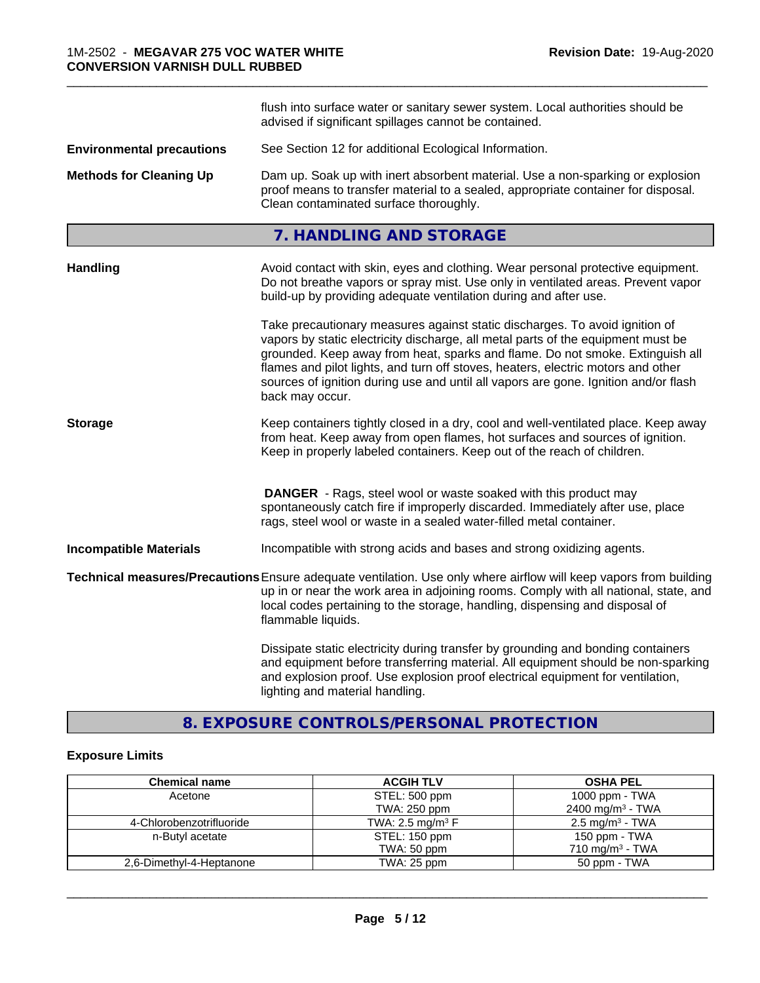|                                  | flush into surface water or sanitary sewer system. Local authorities should be<br>advised if significant spillages cannot be contained.                                                                                                                                                                                                                                                                                                        |
|----------------------------------|------------------------------------------------------------------------------------------------------------------------------------------------------------------------------------------------------------------------------------------------------------------------------------------------------------------------------------------------------------------------------------------------------------------------------------------------|
| <b>Environmental precautions</b> | See Section 12 for additional Ecological Information.                                                                                                                                                                                                                                                                                                                                                                                          |
| <b>Methods for Cleaning Up</b>   | Dam up. Soak up with inert absorbent material. Use a non-sparking or explosion<br>proof means to transfer material to a sealed, appropriate container for disposal.<br>Clean contaminated surface thoroughly.                                                                                                                                                                                                                                  |
|                                  | 7. HANDLING AND STORAGE                                                                                                                                                                                                                                                                                                                                                                                                                        |
| Handling                         | Avoid contact with skin, eyes and clothing. Wear personal protective equipment.<br>Do not breathe vapors or spray mist. Use only in ventilated areas. Prevent vapor<br>build-up by providing adequate ventilation during and after use.                                                                                                                                                                                                        |
|                                  | Take precautionary measures against static discharges. To avoid ignition of<br>vapors by static electricity discharge, all metal parts of the equipment must be<br>grounded. Keep away from heat, sparks and flame. Do not smoke. Extinguish all<br>flames and pilot lights, and turn off stoves, heaters, electric motors and other<br>sources of ignition during use and until all vapors are gone. Ignition and/or flash<br>back may occur. |
| <b>Storage</b>                   | Keep containers tightly closed in a dry, cool and well-ventilated place. Keep away<br>from heat. Keep away from open flames, hot surfaces and sources of ignition.<br>Keep in properly labeled containers. Keep out of the reach of children.                                                                                                                                                                                                  |
|                                  | <b>DANGER</b> - Rags, steel wool or waste soaked with this product may<br>spontaneously catch fire if improperly discarded. Immediately after use, place<br>rags, steel wool or waste in a sealed water-filled metal container.                                                                                                                                                                                                                |
| <b>Incompatible Materials</b>    | Incompatible with strong acids and bases and strong oxidizing agents.                                                                                                                                                                                                                                                                                                                                                                          |
|                                  | Technical measures/Precautions Ensure adequate ventilation. Use only where airflow will keep vapors from building<br>up in or near the work area in adjoining rooms. Comply with all national, state, and<br>local codes pertaining to the storage, handling, dispensing and disposal of<br>flammable liquids.                                                                                                                                 |
|                                  | Dissipate static electricity during transfer by grounding and bonding containers<br>and equipment before transferring material. All equipment should be non-sparking<br>and explosion proof. Use explosion proof electrical equipment for ventilation,<br>lighting and material handling.                                                                                                                                                      |

# **8. EXPOSURE CONTROLS/PERSONAL PROTECTION**

# **Exposure Limits**

| <b>Chemical name</b>     | <b>ACGIH TLV</b>               | <b>OSHA PEL</b>               |
|--------------------------|--------------------------------|-------------------------------|
| Acetone                  | STEL: 500 ppm                  | 1000 ppm - $TWA$              |
|                          | TWA: 250 ppm                   | 2400 mg/m <sup>3</sup> - TWA  |
| 4-Chlorobenzotrifluoride | TWA: 2.5 mg/m <sup>3</sup> $F$ | $2.5 \,\mathrm{mg/m^3}$ - TWA |
| n-Butyl acetate          | STEL: 150 ppm                  | 150 ppm - TWA                 |
|                          | TWA: 50 ppm                    | 710 mg/m <sup>3</sup> - TWA   |
| 2,6-Dimethyl-4-Heptanone | TWA: 25 ppm                    | 50 ppm - TWA                  |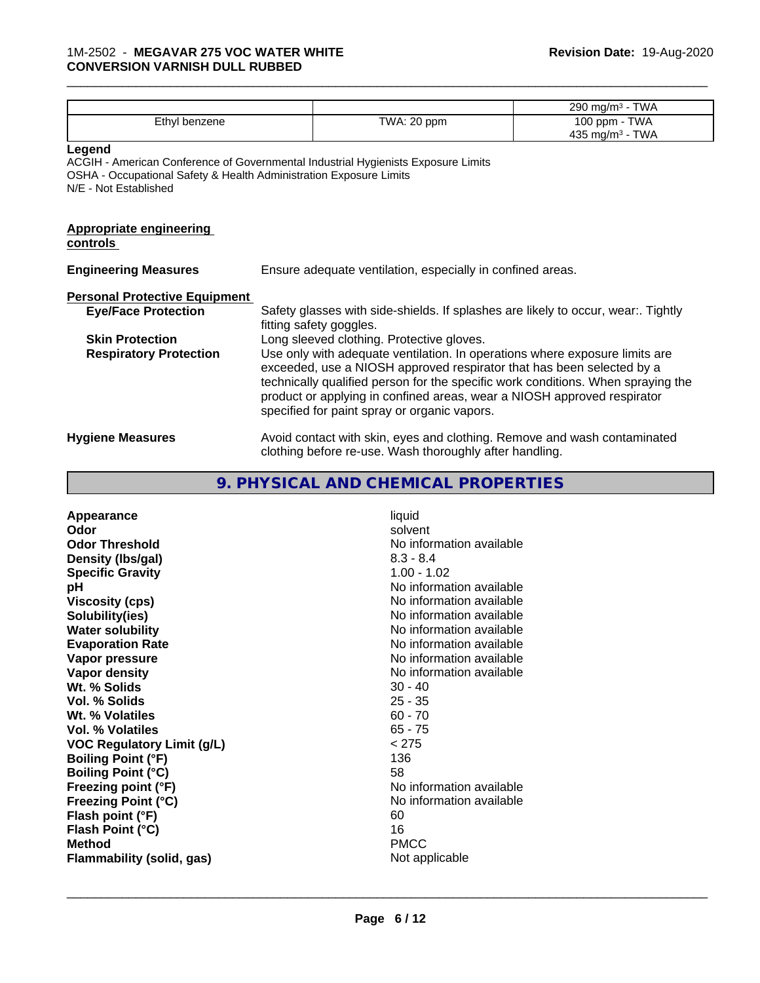|                                                                                                       |                                                                                                                                                                                                                                                                                                                                                                     | 290 mg/m <sup>3</sup> - TWA                  |  |
|-------------------------------------------------------------------------------------------------------|---------------------------------------------------------------------------------------------------------------------------------------------------------------------------------------------------------------------------------------------------------------------------------------------------------------------------------------------------------------------|----------------------------------------------|--|
| Ethyl benzene                                                                                         | TWA: 20 ppm                                                                                                                                                                                                                                                                                                                                                         | 100 ppm - TWA<br>435 mg/m <sup>3</sup> - TWA |  |
| Legend<br>OSHA - Occupational Safety & Health Administration Exposure Limits<br>N/E - Not Established | ACGIH - American Conference of Governmental Industrial Hygienists Exposure Limits                                                                                                                                                                                                                                                                                   |                                              |  |
| <b>Appropriate engineering</b><br>controls                                                            |                                                                                                                                                                                                                                                                                                                                                                     |                                              |  |
| <b>Engineering Measures</b>                                                                           | Ensure adequate ventilation, especially in confined areas.                                                                                                                                                                                                                                                                                                          |                                              |  |
| <b>Personal Protective Equipment</b>                                                                  |                                                                                                                                                                                                                                                                                                                                                                     |                                              |  |
| <b>Eye/Face Protection</b>                                                                            | Safety glasses with side-shields. If splashes are likely to occur, wear Tightly<br>fitting safety goggles.                                                                                                                                                                                                                                                          |                                              |  |
| <b>Skin Protection</b>                                                                                | Long sleeved clothing. Protective gloves.                                                                                                                                                                                                                                                                                                                           |                                              |  |
| <b>Respiratory Protection</b>                                                                         | Use only with adequate ventilation. In operations where exposure limits are<br>exceeded, use a NIOSH approved respirator that has been selected by a<br>technically qualified person for the specific work conditions. When spraying the<br>product or applying in confined areas, wear a NIOSH approved respirator<br>specified for paint spray or organic vapors. |                                              |  |
| <b>Hygiene Measures</b>                                                                               | Avoid contact with skin, eyes and clothing. Remove and wash contaminated<br>clothing before re-use. Wash thoroughly after handling.                                                                                                                                                                                                                                 |                                              |  |

# **9. PHYSICAL AND CHEMICAL PROPERTIES**

| Appearance                        | liquid                   |
|-----------------------------------|--------------------------|
| Odor                              | solvent                  |
| <b>Odor Threshold</b>             | No information available |
| Density (Ibs/gal)                 | $8.3 - 8.4$              |
| <b>Specific Gravity</b>           | $1.00 - 1.02$            |
| рH                                | No information available |
| <b>Viscosity (cps)</b>            | No information available |
| Solubility(ies)                   | No information available |
| <b>Water solubility</b>           | No information available |
| <b>Evaporation Rate</b>           | No information available |
| Vapor pressure                    | No information available |
| Vapor density                     | No information available |
| Wt. % Solids                      | $30 - 40$                |
| <b>Vol. % Solids</b>              | $25 - 35$                |
| Wt. % Volatiles                   | $60 - 70$                |
| Vol. % Volatiles                  | $65 - 75$                |
| <b>VOC Regulatory Limit (g/L)</b> | < 275                    |
| <b>Boiling Point (°F)</b>         | 136                      |
| <b>Boiling Point (°C)</b>         | 58                       |
| Freezing point (°F)               | No information available |
| Freezing Point (°C)               | No information available |
| Flash point (°F)                  | 60                       |
| Flash Point (°C)                  | 16                       |
| <b>Method</b>                     | <b>PMCC</b>              |
| <b>Flammability (solid, gas)</b>  | Not applicable           |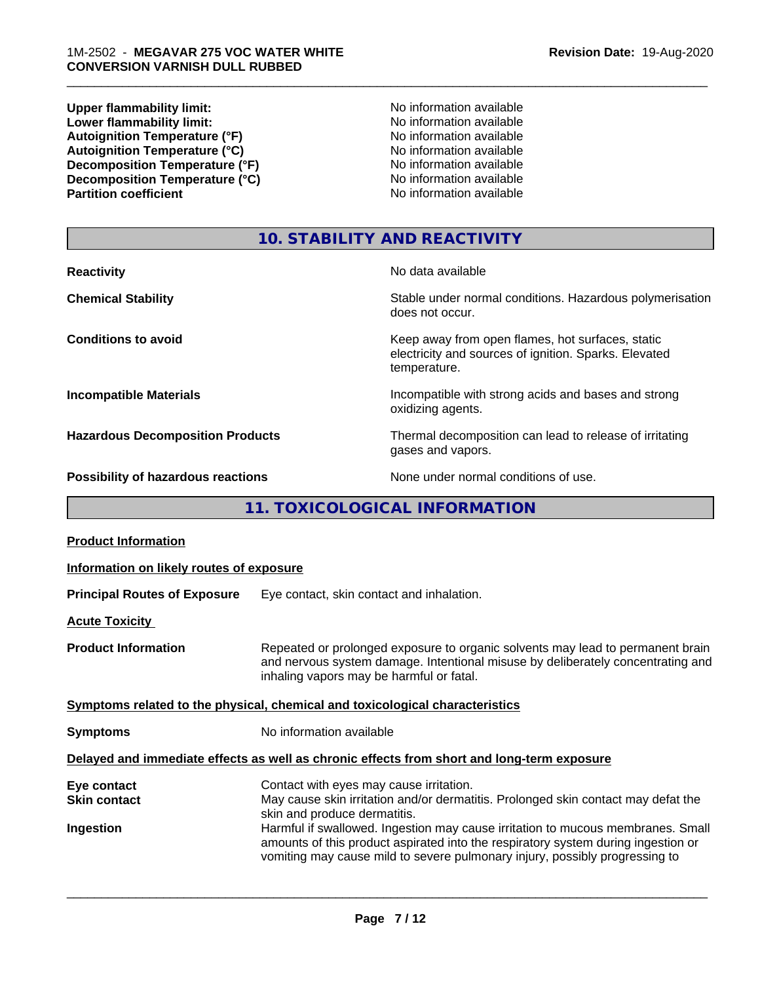**Upper flammability limit:**<br> **Lower flammability limit:** No information available<br>
No information available **Lower flammability limit:**<br> **Autoignition Temperature (°F)**<br>
Mo information available<br>
No information available Autoignition Temperature (°F)<br>
Autoignition Temperature (°C)<br>
No information available Autoignition Temperature (°C)<br>
Decomposition Temperature (°F)<br>
No information available **Decomposition Temperature (°F)**<br> **Decomposition Temperature (°C)**<br>
No information available<br>
No information available **Decomposition Temperature (°C) Partition coefficient** 

\_\_\_\_\_\_\_\_\_\_\_\_\_\_\_\_\_\_\_\_\_\_\_\_\_\_\_\_\_\_\_\_\_\_\_\_\_\_\_\_\_\_\_\_\_\_\_\_\_\_\_\_\_\_\_\_\_\_\_\_\_\_\_\_\_\_\_\_\_\_\_\_\_\_\_\_\_\_\_\_\_\_\_\_\_\_\_\_\_\_\_\_\_

# **10. STABILITY AND REACTIVITY**

| <b>Reactivity</b>                         | No data available                                                                                                         |
|-------------------------------------------|---------------------------------------------------------------------------------------------------------------------------|
| <b>Chemical Stability</b>                 | Stable under normal conditions. Hazardous polymerisation<br>does not occur.                                               |
| <b>Conditions to avoid</b>                | Keep away from open flames, hot surfaces, static<br>electricity and sources of ignition. Sparks. Elevated<br>temperature. |
| <b>Incompatible Materials</b>             | Incompatible with strong acids and bases and strong<br>oxidizing agents.                                                  |
| <b>Hazardous Decomposition Products</b>   | Thermal decomposition can lead to release of irritating<br>gases and vapors.                                              |
| <b>Possibility of hazardous reactions</b> | None under normal conditions of use.                                                                                      |

# **11. TOXICOLOGICAL INFORMATION**

| <b>Product Information</b>                      |                                                                                                                                                                                                                                                                                                                                                                                                                     |
|-------------------------------------------------|---------------------------------------------------------------------------------------------------------------------------------------------------------------------------------------------------------------------------------------------------------------------------------------------------------------------------------------------------------------------------------------------------------------------|
| Information on likely routes of exposure        |                                                                                                                                                                                                                                                                                                                                                                                                                     |
| <b>Principal Routes of Exposure</b>             | Eye contact, skin contact and inhalation.                                                                                                                                                                                                                                                                                                                                                                           |
| <b>Acute Toxicity</b>                           |                                                                                                                                                                                                                                                                                                                                                                                                                     |
| <b>Product Information</b>                      | Repeated or prolonged exposure to organic solvents may lead to permanent brain<br>and nervous system damage. Intentional misuse by deliberately concentrating and<br>inhaling vapors may be harmful or fatal.                                                                                                                                                                                                       |
|                                                 | Symptoms related to the physical, chemical and toxicological characteristics                                                                                                                                                                                                                                                                                                                                        |
| <b>Symptoms</b>                                 | No information available                                                                                                                                                                                                                                                                                                                                                                                            |
|                                                 | Delayed and immediate effects as well as chronic effects from short and long-term exposure                                                                                                                                                                                                                                                                                                                          |
| Eye contact<br><b>Skin contact</b><br>Ingestion | Contact with eyes may cause irritation.<br>May cause skin irritation and/or dermatitis. Prolonged skin contact may defat the<br>skin and produce dermatitis.<br>Harmful if swallowed. Ingestion may cause irritation to mucous membranes. Small<br>amounts of this product aspirated into the respiratory system during ingestion or<br>vomiting may cause mild to severe pulmonary injury, possibly progressing to |
|                                                 |                                                                                                                                                                                                                                                                                                                                                                                                                     |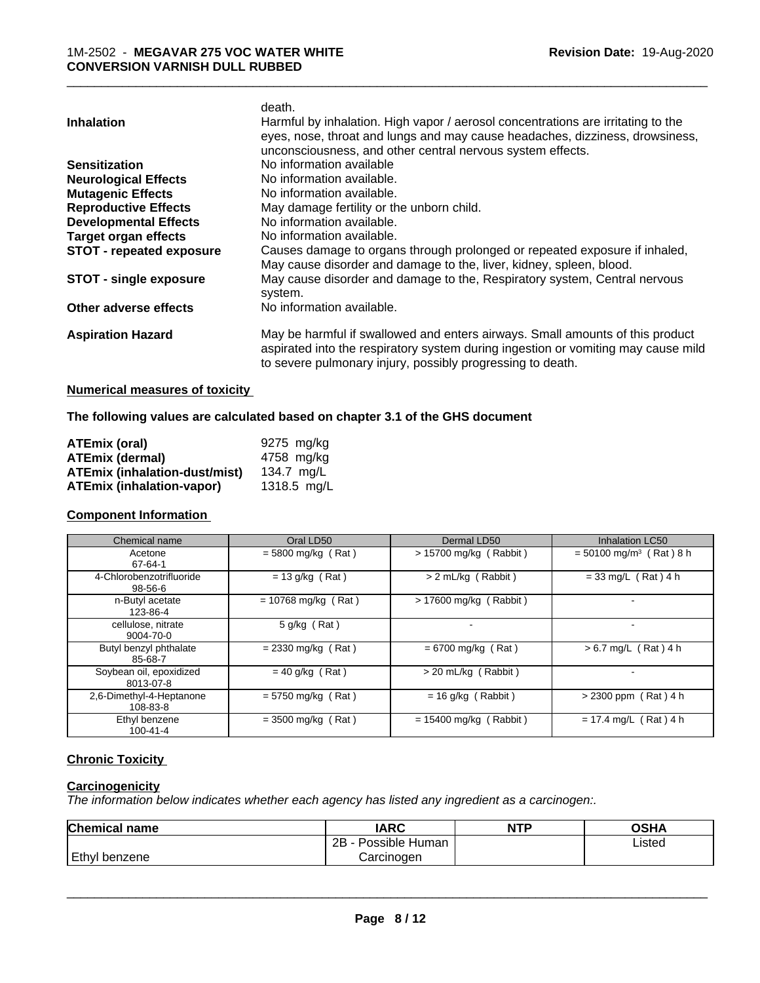|                               | death.                                                                            |
|-------------------------------|-----------------------------------------------------------------------------------|
| <b>Inhalation</b>             | Harmful by inhalation. High vapor / aerosol concentrations are irritating to the  |
|                               | eyes, nose, throat and lungs and may cause headaches, dizziness, drowsiness,      |
|                               | unconsciousness, and other central nervous system effects.                        |
| <b>Sensitization</b>          | No information available                                                          |
| <b>Neurological Effects</b>   | No information available.                                                         |
| <b>Mutagenic Effects</b>      | No information available.                                                         |
| <b>Reproductive Effects</b>   | May damage fertility or the unborn child.                                         |
| <b>Developmental Effects</b>  | No information available.                                                         |
| <b>Target organ effects</b>   | No information available.                                                         |
| STOT - repeated exposure      | Causes damage to organs through prolonged or repeated exposure if inhaled,        |
|                               | May cause disorder and damage to the, liver, kidney, spleen, blood.               |
| <b>STOT - single exposure</b> | May cause disorder and damage to the, Respiratory system, Central nervous         |
|                               | system.                                                                           |
| Other adverse effects         | No information available.                                                         |
| <b>Aspiration Hazard</b>      | May be harmful if swallowed and enters airways. Small amounts of this product     |
|                               | aspirated into the respiratory system during ingestion or vomiting may cause mild |
|                               | to severe pulmonary injury, possibly progressing to death.                        |
|                               |                                                                                   |

#### **Numerical measures of toxicity**

**The following values are calculated based on chapter 3.1 of the GHS document**

| ATEmix (oral)                        | 9275 mg/ka    |
|--------------------------------------|---------------|
| <b>ATEmix (dermal)</b>               | 4758 mg/kg    |
| <b>ATEmix (inhalation-dust/mist)</b> | 134.7 ma/L    |
| <b>ATEmix (inhalation-vapor)</b>     | 1318.5 $mq/L$ |

#### **Component Information**

| Chemical name                        | Oral LD50             | Dermal LD50              | Inhalation LC50                       |
|--------------------------------------|-----------------------|--------------------------|---------------------------------------|
| Acetone<br>67-64-1                   | $= 5800$ mg/kg (Rat)  | > 15700 mg/kg (Rabbit)   | $=$ 50100 mg/m <sup>3</sup> (Rat) 8 h |
| 4-Chlorobenzotrifluoride<br>98-56-6  | $= 13$ g/kg (Rat)     | > 2 mL/kg (Rabbit)       | $= 33$ mg/L (Rat) 4 h                 |
| n-Butyl acetate<br>123-86-4          | $= 10768$ mg/kg (Rat) | $> 17600$ mg/kg (Rabbit) |                                       |
| cellulose, nitrate<br>9004-70-0      | $5$ g/kg (Rat)        |                          |                                       |
| Butyl benzyl phthalate<br>85-68-7    | $= 2330$ mg/kg (Rat)  | $= 6700$ mg/kg (Rat)     | $> 6.7$ mg/L (Rat) 4 h                |
| Soybean oil, epoxidized<br>8013-07-8 | $= 40$ g/kg (Rat)     | $>$ 20 mL/kg (Rabbit)    |                                       |
| 2.6-Dimethyl-4-Heptanone<br>108-83-8 | $= 5750$ mg/kg (Rat)  | $= 16$ g/kg (Rabbit)     | $> 2300$ ppm (Rat) 4 h                |
| Ethyl benzene<br>$100 - 41 - 4$      | $= 3500$ mg/kg (Rat)  | $= 15400$ mg/kg (Rabbit) | $= 17.4$ mg/L (Rat) 4 h               |

# **Chronic Toxicity**

# **Carcinogenicity**

*The information below indicateswhether each agency has listed any ingredient as a carcinogen:.*

| <b>Chemical name</b> | <b>IARC</b>          | <b>NTP</b> | OSHA   |
|----------------------|----------------------|------------|--------|
|                      | Possible Human<br>2Β |            | Listed |
| Ethyl benzene        | Carcinoɑen           |            |        |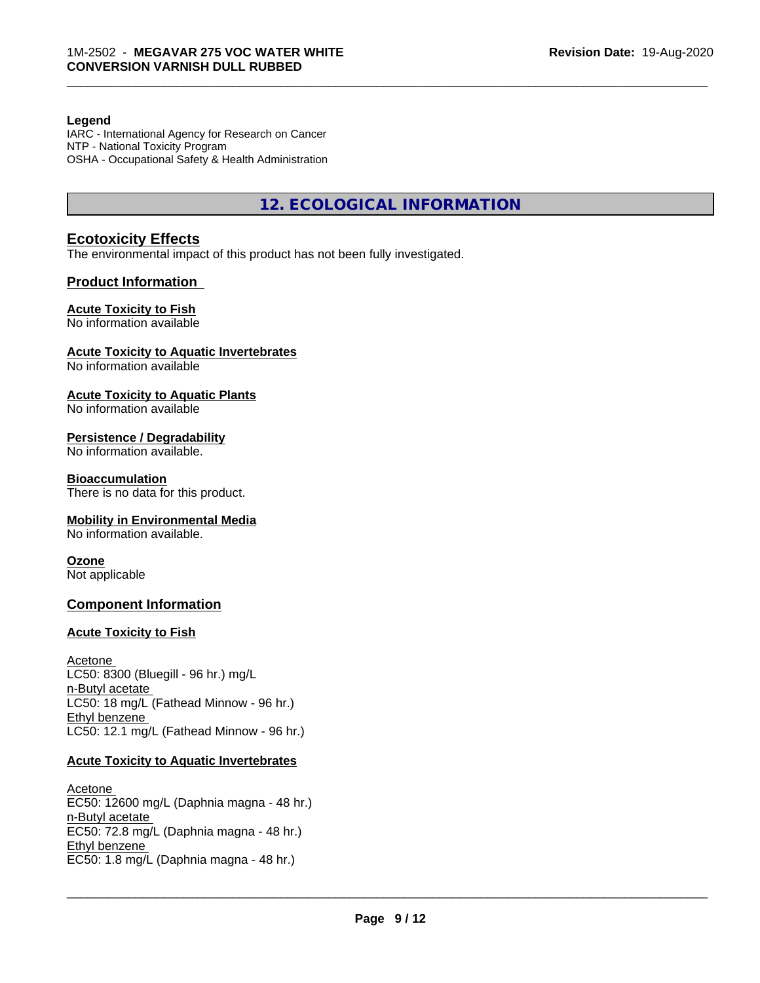#### **Legend**

IARC - International Agency for Research on Cancer NTP - National Toxicity Program OSHA - Occupational Safety & Health Administration

**12. ECOLOGICAL INFORMATION**

\_\_\_\_\_\_\_\_\_\_\_\_\_\_\_\_\_\_\_\_\_\_\_\_\_\_\_\_\_\_\_\_\_\_\_\_\_\_\_\_\_\_\_\_\_\_\_\_\_\_\_\_\_\_\_\_\_\_\_\_\_\_\_\_\_\_\_\_\_\_\_\_\_\_\_\_\_\_\_\_\_\_\_\_\_\_\_\_\_\_\_\_\_

#### **Ecotoxicity Effects**

The environmental impact of this product has not been fully investigated.

#### **Product Information**

#### **Acute Toxicity to Fish**

No information available

#### **Acute Toxicity to Aquatic Invertebrates**

No information available

#### **Acute Toxicity to Aquatic Plants**

No information available

#### **Persistence / Degradability**

No information available.

#### **Bioaccumulation**

There is no data for this product.

#### **Mobility in Environmental Media**

No information available.

#### **Ozone**

Not applicable

#### **Component Information**

#### **Acute Toxicity to Fish**

Acetone LC50: 8300 (Bluegill - 96 hr.) mg/L n-Butyl acetate LC50: 18 mg/L (Fathead Minnow - 96 hr.) Ethyl benzene LC50: 12.1 mg/L (Fathead Minnow - 96 hr.)

#### **Acute Toxicity to Aquatic Invertebrates**

Acetone EC50: 12600 mg/L (Daphnia magna - 48 hr.) n-Butyl acetate EC50: 72.8 mg/L (Daphnia magna - 48 hr.) Ethyl benzene \_\_\_\_\_\_\_\_\_\_\_\_\_\_\_\_\_\_\_\_\_\_\_\_\_\_\_\_\_\_\_\_\_\_\_\_\_\_\_\_\_\_\_\_\_\_\_\_\_\_\_\_\_\_\_\_\_\_\_\_\_\_\_\_\_\_\_\_\_\_\_\_\_\_\_\_\_\_\_\_\_\_\_\_\_\_\_\_\_\_\_\_\_ EC50: 1.8 mg/L (Daphnia magna - 48 hr.)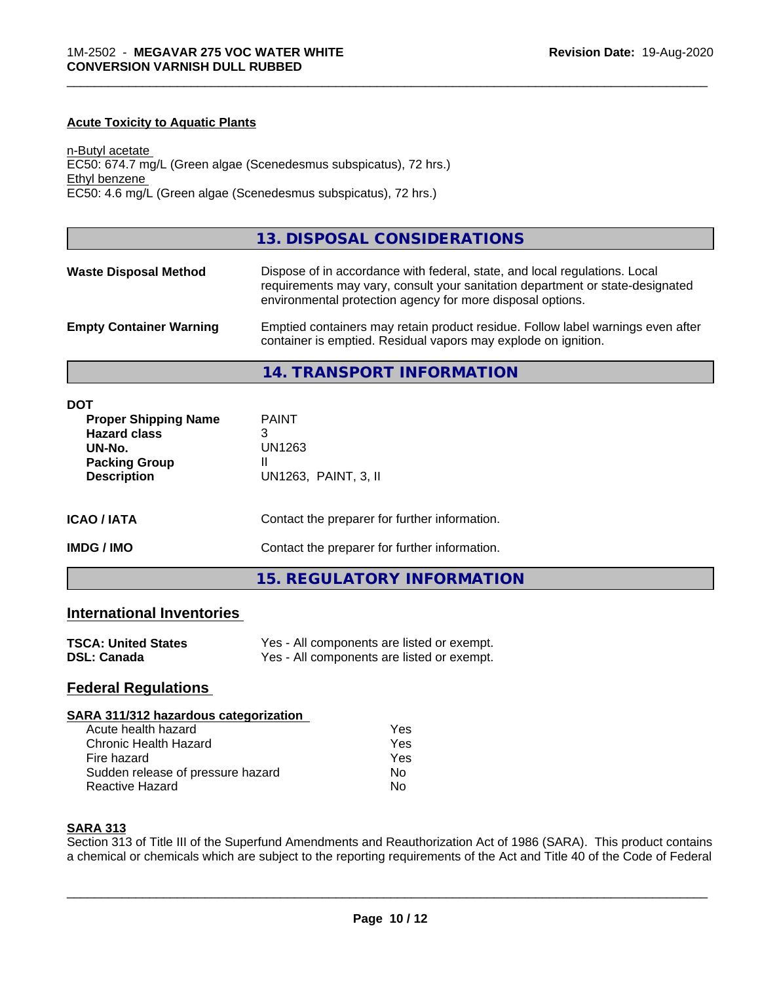#### **Acute Toxicity to Aquatic Plants**

n-Butyl acetate EC50: 674.7 mg/L (Green algae (Scenedesmus subspicatus), 72 hrs.) Ethyl benzene EC50: 4.6 mg/L (Green algae (Scenedesmus subspicatus), 72 hrs.)

#### **13. DISPOSAL CONSIDERATIONS**

\_\_\_\_\_\_\_\_\_\_\_\_\_\_\_\_\_\_\_\_\_\_\_\_\_\_\_\_\_\_\_\_\_\_\_\_\_\_\_\_\_\_\_\_\_\_\_\_\_\_\_\_\_\_\_\_\_\_\_\_\_\_\_\_\_\_\_\_\_\_\_\_\_\_\_\_\_\_\_\_\_\_\_\_\_\_\_\_\_\_\_\_\_

| <b>Waste Disposal Method</b>   | Dispose of in accordance with federal, state, and local regulations. Local<br>requirements may vary, consult your sanitation department or state-designated<br>environmental protection agency for more disposal options. |
|--------------------------------|---------------------------------------------------------------------------------------------------------------------------------------------------------------------------------------------------------------------------|
| <b>Empty Container Warning</b> | Emptied containers may retain product residue. Follow label warnings even after<br>container is emptied. Residual vapors may explode on ignition.                                                                         |

**14. TRANSPORT INFORMATION**

| DOT<br><b>Proper Shipping Name</b><br><b>Hazard class</b><br>UN-No.<br><b>Packing Group</b><br><b>Description</b> | <b>PAINT</b><br>3<br>UN1263<br>Ш<br>UN1263, PAINT, 3, II |
|-------------------------------------------------------------------------------------------------------------------|----------------------------------------------------------|
| <b>ICAO/IATA</b>                                                                                                  | Contact the preparer for further information.            |
| <b>IMDG/IMO</b>                                                                                                   | Contact the preparer for further information.            |

#### **15. REGULATORY INFORMATION**

### **International Inventories**

| <b>TSCA: United States</b> | Yes - All components are listed or exempt. |
|----------------------------|--------------------------------------------|
| <b>DSL: Canada</b>         | Yes - All components are listed or exempt. |

#### **Federal Regulations**

#### **SARA 311/312 hazardous categorization**

| Acute health hazard               | Yes |  |
|-----------------------------------|-----|--|
| Chronic Health Hazard             | Yes |  |
| Fire hazard                       | Yes |  |
| Sudden release of pressure hazard | Nο  |  |
| Reactive Hazard                   | N٥  |  |

#### **SARA 313**

Section 313 of Title III of the Superfund Amendments and Reauthorization Act of 1986 (SARA). This product contains a chemical or chemicals which are subject to the reporting requirements of the Act and Title 40 of the Code of Federal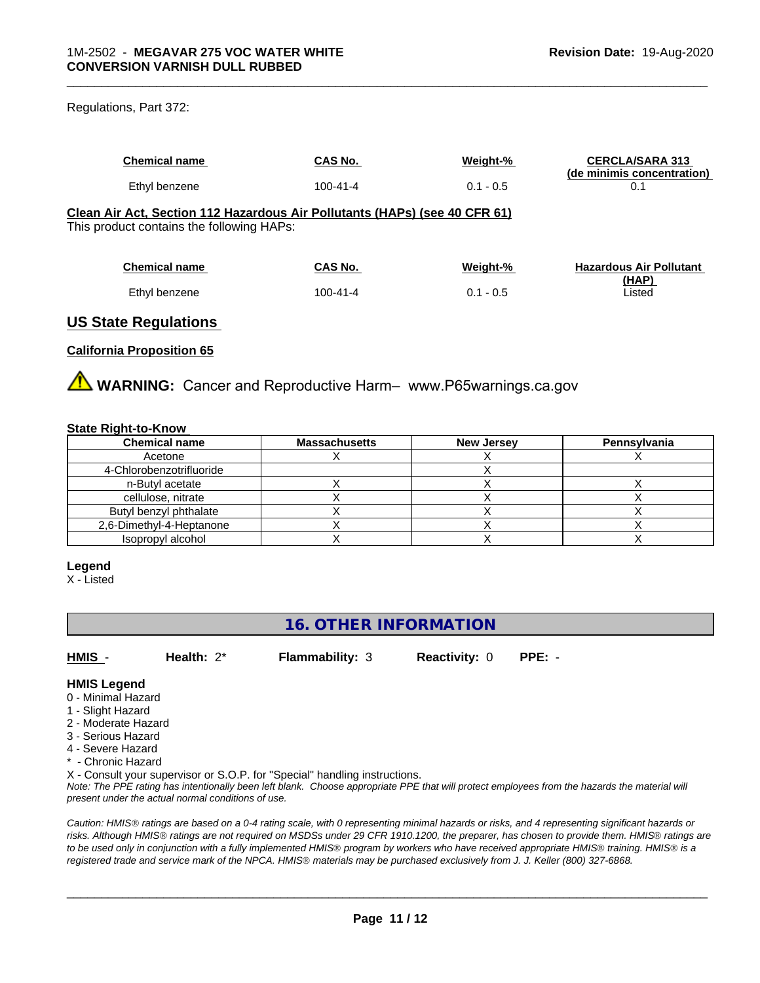#### Regulations, Part 372:

| <b>Chemical name</b>                                                                                                                                                                                                                                                                                                                                                      | CAS No.        | Weight-%    | <b>CERCLA/SARA 313</b><br>(de minimis concentration) |
|---------------------------------------------------------------------------------------------------------------------------------------------------------------------------------------------------------------------------------------------------------------------------------------------------------------------------------------------------------------------------|----------------|-------------|------------------------------------------------------|
| Ethyl benzene                                                                                                                                                                                                                                                                                                                                                             | $100 - 41 - 4$ | $0.1 - 0.5$ | 0.1                                                  |
| Clean Air Act, Section 112 Hazardous Air Pollutants (HAPs) (see 40 CFR 61)<br>This product contains the following HAPs:                                                                                                                                                                                                                                                   |                |             |                                                      |
| <b>Chemical name</b>                                                                                                                                                                                                                                                                                                                                                      | CAS No.        | Weight-%    | <b>Hazardous Air Pollutant</b>                       |
| Ethyl benzene                                                                                                                                                                                                                                                                                                                                                             | $100 - 41 - 4$ | $0.1 - 0.5$ | (HAP)<br>Listed                                      |
| $\mathbf{11} \mathbf{A} \mathbf{A}$ . $\mathbf{A} \mathbf{B}$ . $\mathbf{A} \mathbf{B}$ . $\mathbf{A} \mathbf{B}$ . $\mathbf{A} \mathbf{B}$ . $\mathbf{A} \mathbf{B}$ . $\mathbf{A} \mathbf{B}$ . $\mathbf{A} \mathbf{B}$ . $\mathbf{A} \mathbf{B}$ . $\mathbf{A} \mathbf{B}$ . $\mathbf{A} \mathbf{B}$ . $\mathbf{A} \mathbf{B}$ . $\mathbf{A} \mathbf{B}$ . $\mathbf{A$ |                |             |                                                      |

\_\_\_\_\_\_\_\_\_\_\_\_\_\_\_\_\_\_\_\_\_\_\_\_\_\_\_\_\_\_\_\_\_\_\_\_\_\_\_\_\_\_\_\_\_\_\_\_\_\_\_\_\_\_\_\_\_\_\_\_\_\_\_\_\_\_\_\_\_\_\_\_\_\_\_\_\_\_\_\_\_\_\_\_\_\_\_\_\_\_\_\_\_

# **US State Regulations**

#### **California Proposition 65**

**AVIMARNING:** Cancer and Reproductive Harm– www.P65warnings.ca.gov

#### **State Right-to-Know**

| <b>Chemical name</b>     | <b>Massachusetts</b> | <b>New Jersey</b> | Pennsylvania |
|--------------------------|----------------------|-------------------|--------------|
| Acetone                  |                      |                   |              |
| 4-Chlorobenzotrifluoride |                      |                   |              |
| n-Butyl acetate          |                      |                   |              |
| cellulose, nitrate       |                      |                   |              |
| Butyl benzyl phthalate   |                      |                   |              |
| 2,6-Dimethyl-4-Heptanone |                      |                   |              |
| Isopropyl alcohol        |                      |                   |              |

#### **Legend**

X - Listed

# **16. OTHER INFORMATION**

**HMIS** - **Health:** 2\* **Flammability:** 3 **Reactivity:** 0 **PPE:** -

#### **HMIS Legend**

- 0 Minimal Hazard
- 1 Slight Hazard
- 2 Moderate Hazard
- 3 Serious Hazard
- 4 Severe Hazard
- \* Chronic Hazard

X - Consult your supervisor or S.O.P. for "Special" handling instructions.

*Note: The PPE rating has intentionally been left blank. Choose appropriate PPE that will protect employees from the hazards the material will present under the actual normal conditions of use.*

*Caution: HMISÒ ratings are based on a 0-4 rating scale, with 0 representing minimal hazards or risks, and 4 representing significant hazards or risks. Although HMISÒ ratings are not required on MSDSs under 29 CFR 1910.1200, the preparer, has chosen to provide them. HMISÒ ratings are to be used only in conjunction with a fully implemented HMISÒ program by workers who have received appropriate HMISÒ training. HMISÒ is a registered trade and service mark of the NPCA. HMISÒ materials may be purchased exclusively from J. J. Keller (800) 327-6868.*